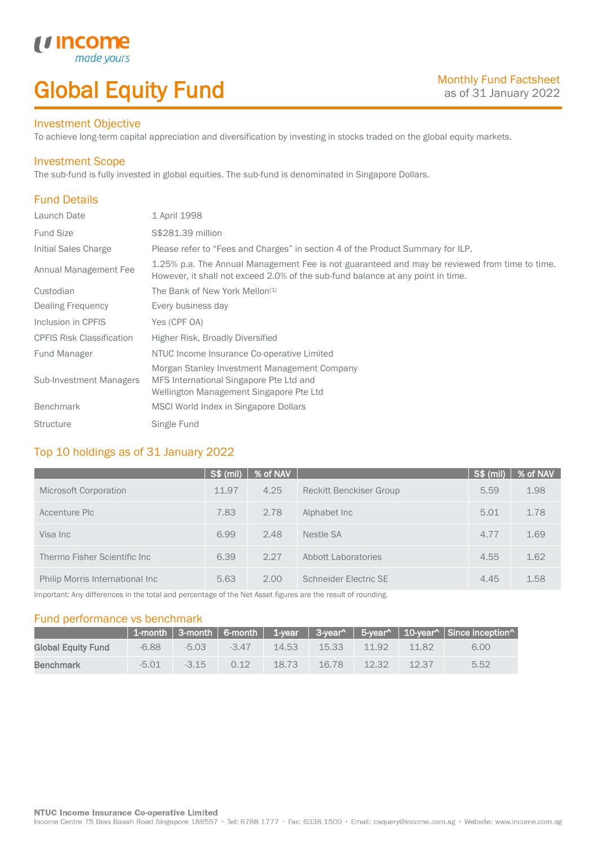## Global Equity Fund

### Investment Objective

made<sub>1</sub>

*u* incon

To achieve long-term capital appreciation and diversification by investing in stocks traded on the global equity markets.

### Investment Scope

The sub-fund is fully invested in global equities. The sub-fund is denominated in Singapore Dollars.

## Fund Details

I

| Launch Date                      | 1 April 1998                                                                                                                                                                     |
|----------------------------------|----------------------------------------------------------------------------------------------------------------------------------------------------------------------------------|
| <b>Fund Size</b>                 | S\$281.39 million                                                                                                                                                                |
| Initial Sales Charge             | Please refer to "Fees and Charges" in section 4 of the Product Summary for ILP.                                                                                                  |
| Annual Management Fee            | 1.25% p.a. The Annual Management Fee is not guaranteed and may be reviewed from time to time.<br>However, it shall not exceed 2.0% of the sub-fund balance at any point in time. |
| Custodian                        | The Bank of New York Mellon <sup>[1]</sup>                                                                                                                                       |
| Dealing Frequency                | Every business day                                                                                                                                                               |
| Inclusion in CPFIS               | Yes (CPF OA)                                                                                                                                                                     |
| <b>CPFIS Risk Classification</b> | Higher Risk, Broadly Diversified                                                                                                                                                 |
| <b>Fund Manager</b>              | NTUC Income Insurance Co-operative Limited                                                                                                                                       |
| <b>Sub-Investment Managers</b>   | Morgan Stanley Investment Management Company<br>MFS International Singapore Pte Ltd and<br>Wellington Management Singapore Pte Ltd                                               |
| <b>Benchmark</b>                 | MSCI World Index in Singapore Dollars                                                                                                                                            |
| <b>Structure</b>                 | Single Fund                                                                                                                                                                      |

### Top 10 holdings as of 31 January 2022

|                                 | S\$ (mil) | % of NAV |                                | $S$ \$ (mil) | % of NAV |
|---------------------------------|-----------|----------|--------------------------------|--------------|----------|
| Microsoft Corporation           | 11.97     | 4.25     | <b>Reckitt Benckiser Group</b> | 5.59         | 1.98     |
| Accenture Plc                   | 7.83      | 2.78     | Alphabet Inc.                  | 5.01         | 1.78     |
| Visa Inc                        | 6.99      | 2.48     | Nestle SA                      | 4.77         | 1.69     |
| Thermo Fisher Scientific Inc.   | 6.39      | 2.27     | <b>Abbott Laboratories</b>     | 4.55         | 1.62     |
| Philip Morris International Inc | 5.63      | 2.00     | Schneider Electric SE          | 4.45         | 1.58     |

Important: Any differences in the total and percentage of the Net Asset figures are the result of rounding.

### Fund performance vs benchmark

|                           |         |         |         |       |       |       |       | 1-month   3-month   6-month   1-year   3-year^   5-year^   10-year^   Since inception^ |
|---------------------------|---------|---------|---------|-------|-------|-------|-------|----------------------------------------------------------------------------------------|
| <b>Global Equity Fund</b> | $-6.88$ | $-5.03$ | $-3.47$ | 14.53 | 15.33 | 11.92 | 1182  | 6.00                                                                                   |
| <b>Benchmark</b>          | $-5.01$ | $-315$  | O 12    | 1873  | 16.78 | 12.32 | 12.37 | 5.52                                                                                   |